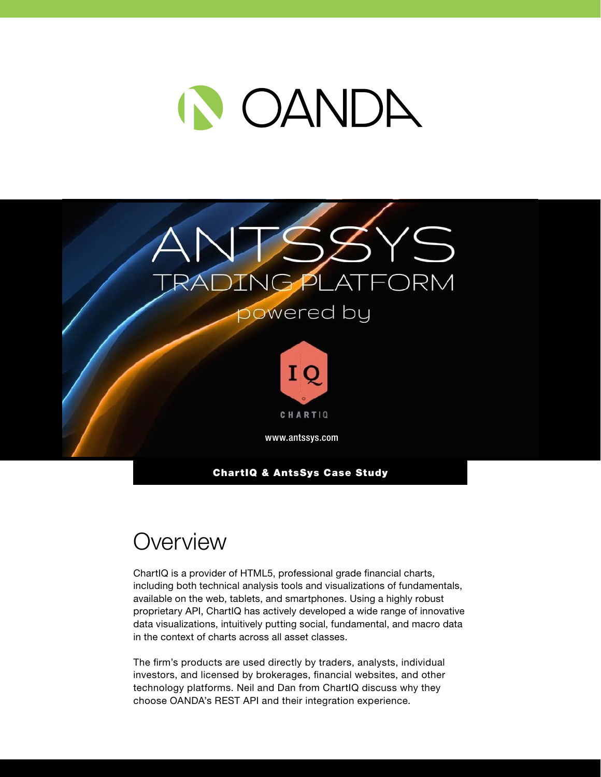



### **Overview**

ChartIQ is a provider of HTML5, professional grade financial charts, including both technical analysis tools and visualizations of fundamentals, available on the web, tablets, and smartphones. Using a highly robust proprietary API, ChartIQ has actively developed a wide range of innovative data visualizations, intuitively putting social, fundamental, and macro data in the context of charts across all asset classes.

The firm's products are used directly by traders, analysts, individual investors, and licensed by brokerages, financial websites, and other technology platforms. Neil and Dan from ChartIQ discuss why they choose OANDA's REST API and their integration experience.